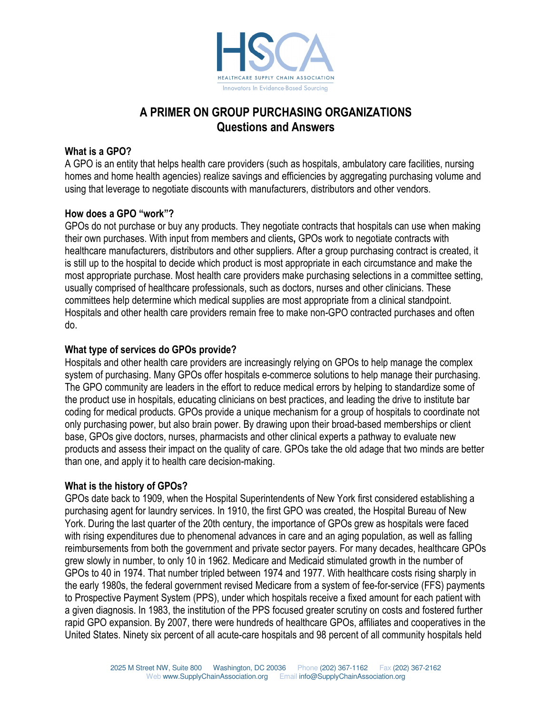

# A PRIMER ON GROUP PURCHASING ORGANIZATIONS Questions and Answers

### What is a GPO?

A GPO is an entity that helps health care providers (such as hospitals, ambulatory care facilities, nursing homes and home health agencies) realize savings and efficiencies by aggregating purchasing volume and using that leverage to negotiate discounts with manufacturers, distributors and other vendors.

### How does a GPO "work"?

GPOs do not purchase or buy any products. They negotiate contracts that hospitals can use when making their own purchases. With input from members and clients, GPOs work to negotiate contracts with healthcare manufacturers, distributors and other suppliers. After a group purchasing contract is created, it is still up to the hospital to decide which product is most appropriate in each circumstance and make the most appropriate purchase. Most health care providers make purchasing selections in a committee setting, usually comprised of healthcare professionals, such as doctors, nurses and other clinicians. These committees help determine which medical supplies are most appropriate from a clinical standpoint. Hospitals and other health care providers remain free to make non-GPO contracted purchases and often do.

### What type of services do GPOs provide?

Hospitals and other health care providers are increasingly relying on GPOs to help manage the complex system of purchasing. Many GPOs offer hospitals e-commerce solutions to help manage their purchasing. The GPO community are leaders in the effort to reduce medical errors by helping to standardize some of the product use in hospitals, educating clinicians on best practices, and leading the drive to institute bar coding for medical products. GPOs provide a unique mechanism for a group of hospitals to coordinate not only purchasing power, but also brain power. By drawing upon their broad-based memberships or client base, GPOs give doctors, nurses, pharmacists and other clinical experts a pathway to evaluate new products and assess their impact on the quality of care. GPOs take the old adage that two minds are better than one, and apply it to health care decision-making.

## What is the history of GPOs?

GPOs date back to 1909, when the Hospital Superintendents of New York first considered establishing a purchasing agent for laundry services. In 1910, the first GPO was created, the Hospital Bureau of New York. During the last quarter of the 20th century, the importance of GPOs grew as hospitals were faced with rising expenditures due to phenomenal advances in care and an aging population, as well as falling reimbursements from both the government and private sector payers. For many decades, healthcare GPOs grew slowly in number, to only 10 in 1962. Medicare and Medicaid stimulated growth in the number of GPOs to 40 in 1974. That number tripled between 1974 and 1977. With healthcare costs rising sharply in the early 1980s, the federal government revised Medicare from a system of fee-for-service (FFS) payments to Prospective Payment System (PPS), under which hospitals receive a fixed amount for each patient with a given diagnosis. In 1983, the institution of the PPS focused greater scrutiny on costs and fostered further rapid GPO expansion. By 2007, there were hundreds of healthcare GPOs, affiliates and cooperatives in the United States. Ninety six percent of all acute-care hospitals and 98 percent of all community hospitals held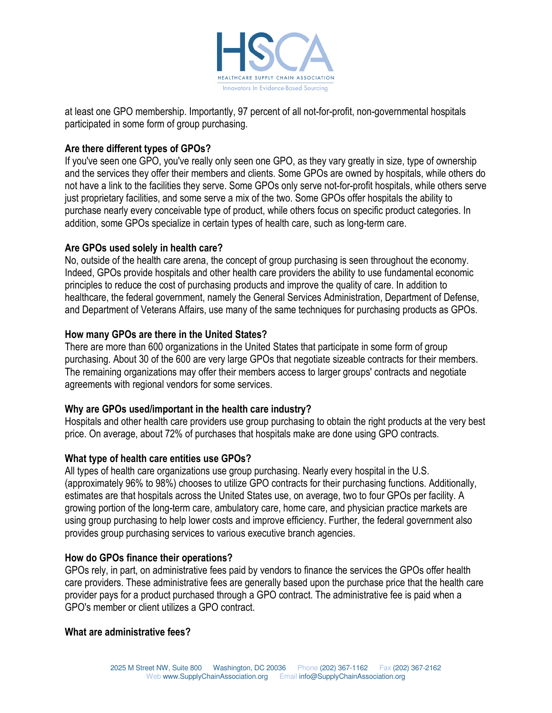

at least one GPO membership. Importantly, 97 percent of all not-for-profit, non-governmental hospitals participated in some form of group purchasing.

## Are there different types of GPOs?

If you've seen one GPO, you've really only seen one GPO, as they vary greatly in size, type of ownership and the services they offer their members and clients. Some GPOs are owned by hospitals, while others do not have a link to the facilities they serve. Some GPOs only serve not-for-profit hospitals, while others serve just proprietary facilities, and some serve a mix of the two. Some GPOs offer hospitals the ability to purchase nearly every conceivable type of product, while others focus on specific product categories. In addition, some GPOs specialize in certain types of health care, such as long-term care.

# Are GPOs used solely in health care?

No, outside of the health care arena, the concept of group purchasing is seen throughout the economy. Indeed, GPOs provide hospitals and other health care providers the ability to use fundamental economic principles to reduce the cost of purchasing products and improve the quality of care. In addition to healthcare, the federal government, namely the General Services Administration, Department of Defense, and Department of Veterans Affairs, use many of the same techniques for purchasing products as GPOs.

# How many GPOs are there in the United States?

There are more than 600 organizations in the United States that participate in some form of group purchasing. About 30 of the 600 are very large GPOs that negotiate sizeable contracts for their members. The remaining organizations may offer their members access to larger groups' contracts and negotiate agreements with regional vendors for some services.

# Why are GPOs used/important in the health care industry?

Hospitals and other health care providers use group purchasing to obtain the right products at the very best price. On average, about 72% of purchases that hospitals make are done using GPO contracts.

## What type of health care entities use GPOs?

All types of health care organizations use group purchasing. Nearly every hospital in the U.S. (approximately 96% to 98%) chooses to utilize GPO contracts for their purchasing functions. Additionally, estimates are that hospitals across the United States use, on average, two to four GPOs per facility. A growing portion of the long-term care, ambulatory care, home care, and physician practice markets are using group purchasing to help lower costs and improve efficiency. Further, the federal government also provides group purchasing services to various executive branch agencies.

## How do GPOs finance their operations?

GPOs rely, in part, on administrative fees paid by vendors to finance the services the GPOs offer health care providers. These administrative fees are generally based upon the purchase price that the health care provider pays for a product purchased through a GPO contract. The administrative fee is paid when a GPO's member or client utilizes a GPO contract.

## What are administrative fees?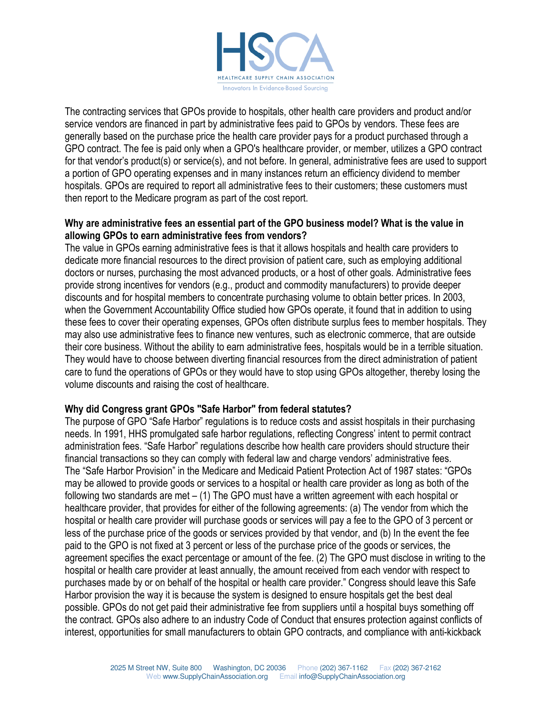

The contracting services that GPOs provide to hospitals, other health care providers and product and/or service vendors are financed in part by administrative fees paid to GPOs by vendors. These fees are generally based on the purchase price the health care provider pays for a product purchased through a GPO contract. The fee is paid only when a GPO's healthcare provider, or member, utilizes a GPO contract for that vendor's product(s) or service(s), and not before. In general, administrative fees are used to support a portion of GPO operating expenses and in many instances return an efficiency dividend to member hospitals. GPOs are required to report all administrative fees to their customers; these customers must then report to the Medicare program as part of the cost report.

### Why are administrative fees an essential part of the GPO business model? What is the value in allowing GPOs to earn administrative fees from vendors?

The value in GPOs earning administrative fees is that it allows hospitals and health care providers to dedicate more financial resources to the direct provision of patient care, such as employing additional doctors or nurses, purchasing the most advanced products, or a host of other goals. Administrative fees provide strong incentives for vendors (e.g., product and commodity manufacturers) to provide deeper discounts and for hospital members to concentrate purchasing volume to obtain better prices. In 2003, when the Government Accountability Office studied how GPOs operate, it found that in addition to using these fees to cover their operating expenses, GPOs often distribute surplus fees to member hospitals. They may also use administrative fees to finance new ventures, such as electronic commerce, that are outside their core business. Without the ability to earn administrative fees, hospitals would be in a terrible situation. They would have to choose between diverting financial resources from the direct administration of patient care to fund the operations of GPOs or they would have to stop using GPOs altogether, thereby losing the volume discounts and raising the cost of healthcare.

## Why did Congress grant GPOs "Safe Harbor" from federal statutes?

The purpose of GPO "Safe Harbor" regulations is to reduce costs and assist hospitals in their purchasing needs. In 1991, HHS promulgated safe harbor regulations, reflecting Congress' intent to permit contract administration fees. "Safe Harbor" regulations describe how health care providers should structure their financial transactions so they can comply with federal law and charge vendors' administrative fees. The "Safe Harbor Provision" in the Medicare and Medicaid Patient Protection Act of 1987 states: "GPOs may be allowed to provide goods or services to a hospital or health care provider as long as both of the following two standards are met – (1) The GPO must have a written agreement with each hospital or healthcare provider, that provides for either of the following agreements: (a) The vendor from which the hospital or health care provider will purchase goods or services will pay a fee to the GPO of 3 percent or less of the purchase price of the goods or services provided by that vendor, and (b) In the event the fee paid to the GPO is not fixed at 3 percent or less of the purchase price of the goods or services, the agreement specifies the exact percentage or amount of the fee. (2) The GPO must disclose in writing to the hospital or health care provider at least annually, the amount received from each vendor with respect to purchases made by or on behalf of the hospital or health care provider." Congress should leave this Safe Harbor provision the way it is because the system is designed to ensure hospitals get the best deal possible. GPOs do not get paid their administrative fee from suppliers until a hospital buys something off the contract. GPOs also adhere to an industry Code of Conduct that ensures protection against conflicts of interest, opportunities for small manufacturers to obtain GPO contracts, and compliance with anti-kickback